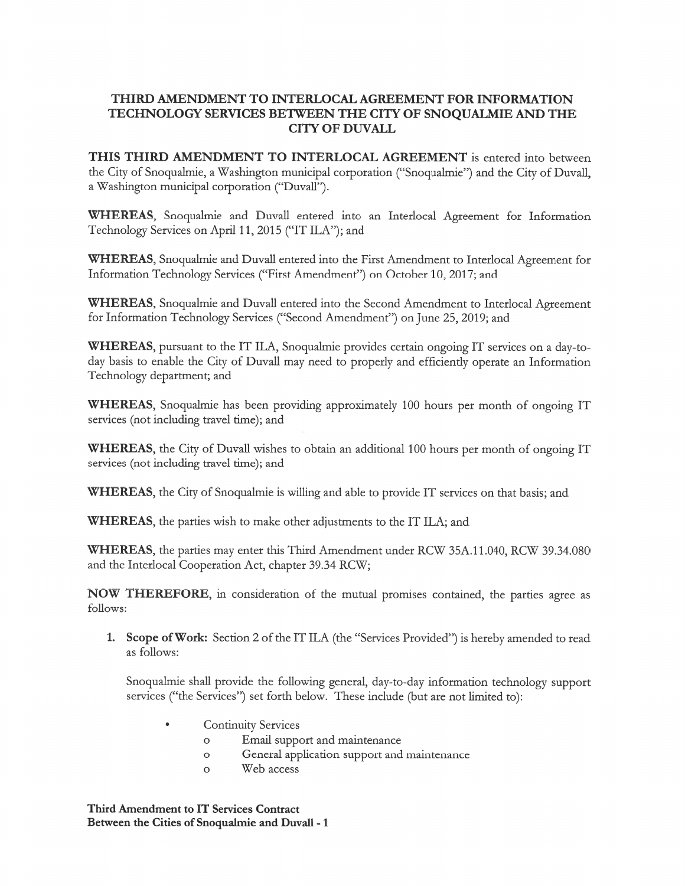## THIRD AMENDMENT TO INTERLOCAL AGREEMENT FOR INFORMATION TECHNOLOGY SERVICES BETWEEN THE CITY OF SNOQUALMIE AND THE CITY OF DUVALL

THIS THIRD AMENDMENT TO INTERLOCAL AGREEMENT is entered into between the City of Snoqualmie, <sup>a</sup> \Vashington municipal corporation ("Snoqualmie") and the City of Duvall, <sup>a</sup> Washington municipal corporation ("Duvall").

WHEREAS, Snoqualmie and Duvall entered into an Interlocal Agreement for Information Technology Services on April 11, 2015 ("IT ILA"); and

WHEREAS, Snoqualmie and Duvall entered into the first Amendment to Interlocal Agreement for Information Technology Services ("First Amendment") on October 10, 2017; and

WHEREAS, Snoqualmie and Duvall entered into the Second Amendment to Interlocal Agreement for Information Technology Services ("Second Amendment") on June 25, 2019; and

WHEREAS, pursuan<sup>t</sup> to the IT ILA, Snoqualmie provides certain ongoing IT services on <sup>a</sup> day-today basis to enable the City of Duvall may need to properly and efficiently operate an Information Technology department; and

WHEREAS, Snoqualmie has been providing approximately 100 hours per month of ongoing IT services (not including travel time); and

WHEREAS, the City of Duvall wishes to obtain an additional 100 hours per month of ongoing IT services (not including travel time); and

WHEREAS, the City of Snoqualmie is willing and able to provide IT services on that basis; and

WHEREAS, the parties wish to make other adjustments to the IT ILA; and

WHEREAS, the parties may enter this Third Amendment under RCW 35A.11.040, RCW 39.34.080 and the Interlocal Cooperation Act, chapter 39.34 RCW;

NOW THEREFORE, in consideration of the mutual promises contained, the parties agree as follows:

1. Scope ofWork: Section <sup>2</sup> of the IT ILA (the "Services Provided") is hereby amended to read as follows:

Snoqualmie shall provide the following general, day-to-day information technology support services ("the Services") set forth below. These include (but are not limited to):

- Continuity Services
	- <sup>0</sup> Email suppor<sup>t</sup> and maintenance
	- <sup>0</sup> General application suppor<sup>t</sup> and maintenance
	- <sup>0</sup> Web access

Third Amendment to IT Services Contract Between the Cities of Snoqualmie and Duvali -1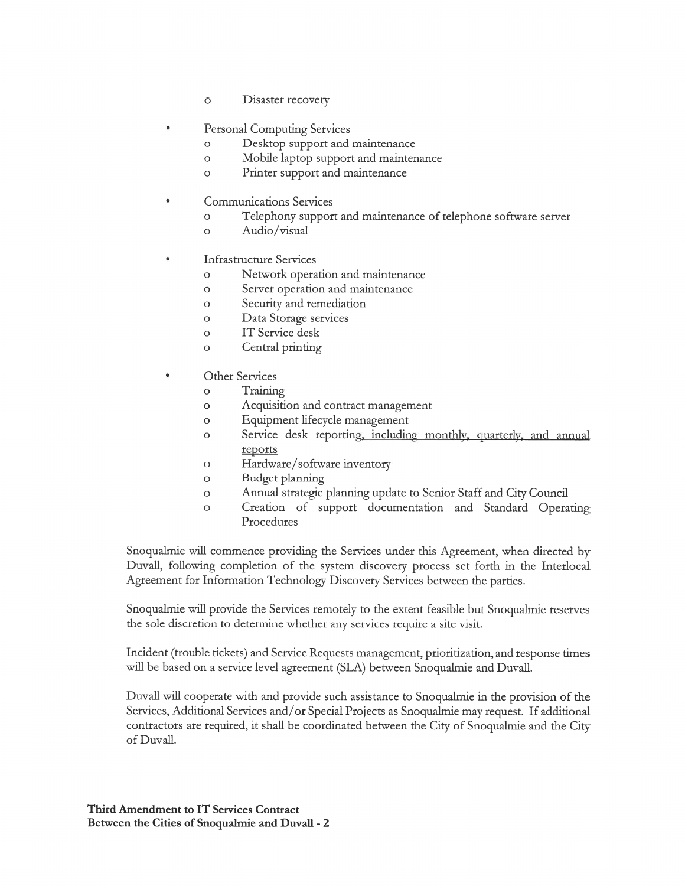- <sup>0</sup> Disaster recovery
- Personal Computing Services
	- <sup>0</sup> Desktop suppor<sup>t</sup> and maintenance
	- <sup>0</sup> Mobile laptop suppor<sup>t</sup> and maintenance
	- <sup>0</sup> Printer suppor<sup>t</sup> and maintenance
- Communications Services
	- <sup>0</sup> Telephony suppor<sup>t</sup> and maintenance of telephone software server
	- 0 Audio/visual
- Infrastructure Services
	- <sup>0</sup> Network operation and maintenance
	- <sup>0</sup> Server operation and maintenance
	- <sup>0</sup> Security and remediation
	- <sup>0</sup> Data Storage services
	- 0 IT Service desk
	- <sup>0</sup> Central printing
- Other Services
	- 0 Training
	- 0 Acquisition and contract managemen<sup>t</sup>
	- <sup>0</sup> Equipment lifecycle managemen<sup>t</sup>
	- o Service desk reporting, including monthly, quarterly, and annual reports
	- 0 Hardware/software inventory
	- 0 Budget planning
	- <sup>0</sup> Annual strategic planning update to Senior Staff and City Council
	- <sup>0</sup> Creation of suppor<sup>t</sup> documentation and Standard Operating Procedures

Snoqualmie will commence providing the Services under this Agreement, when directed by Duvall, following completion of the system discovery process set forth in the Interlocal Agreement for Information Technology Discovery Services between the parties.

Snoqualmie will provide the Services remotely to the extent feasible but Snoqualmie reserves the sole discretion to determine whether any services require <sup>a</sup> site visit.

Incident (trouble tickets) and Service Requests management, prioritization, and response times will be based on <sup>a</sup> service level agreemen<sup>t</sup> (SLA) between Snoqualmie and Duvall.

Duvall will cooperate with and provide such assistance to Snoqualmie in the provision of the Services, Additional Services and/or Special Projects as Snoqualmie may request. If additional contractors are required, it shall be coordinated between the City of Snoqualmie and the City ofDuvall.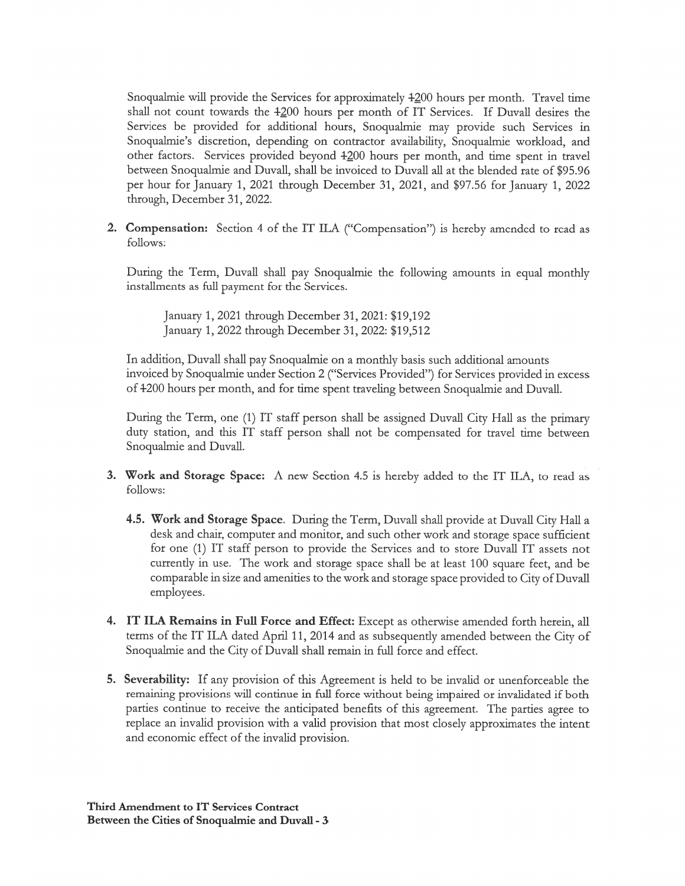Snoqualmie will provide the Services for approximately  $4200$  hours per month. Travel time shall not count towards the  $-1200$  hours per month of IT Services. If Duvall desires the Services be provided for additional hours, Snoqualmie may provide such Services in Snoqualmie's discretion, depending on contractor availability, Snoqualmie workload, and other factors. Services provided beyond 4200 hours per month, and time spent in travel between Snoqualmie and Duvall, shall be invoiced to Duvall all at the blended rate of 95.96 per hour for January 1, 2021 through December 31, 2021, and \$97.56 for January 1, 2022 through, December 31, 2022.

2. Compensation: Section <sup>4</sup> of the IT ILA ("Compensation") is hereby amended to read as follows:

During the Term, Duvall shall pay Snoqualmie the following amounts in equal monthly installments as full paymen<sup>t</sup> for the Services.

January 1, 2021 through December 31, 2021: \$19,192 January 1, 2022 through December 31, 2022: \$19,512

In addition, Duvall shall pay Snoqualmie on <sup>a</sup> monthly basis such additional amounts invoiced by Snoqualmie under Section <sup>2</sup> ("Services Provided") for Services provided in excess of 4-200 hours per month, and for time spen<sup>t</sup> traveling between Snoqualmie and Duvall.

During the Term, one (1) IT staff person shall be assigned Duvall City Hall as the primary duty station, and this IT staff person shall not be compensated for travel time between Snoqualmie and Duvall.

- 3. Work and Storage Space: A new Section 4.5 is hereby added to the IT ILA, to read as follows:
	- 4.5. Work and Storage Space. During the Term, Duvall shall provide at Duvall City Hall a desk and chair, computer and monitor, and such other work and storage space sufficient for one (1) IT staff person to provide the Services and to store Duvall IT assets not currently in use. The work and storage space shall be at least <sup>I</sup> 00 square feet, and be comparable in size and amenities to the work and storage space provided to City of Duvall employees.
- 4. IT ILA Remains in Full Force and Effect: Except as otherwise amended forth herein, all terms of the IT ILA dated April 11, 2014 and as subsequently amended between the City of Snoqualmie and the City of Duvall shall remain in full force and effect.
- 5. Severability: If any provision of this Agreement is held to be invalid or unenforceable the remaining provisions will continue in full force without being impaired or invalidated if both parties continue to receive the anticipated benefits of this agreement. The parties agree to replace an invalid provision with <sup>a</sup> valid provision that most closely approximates the intent and economic effect of the invalid provision.